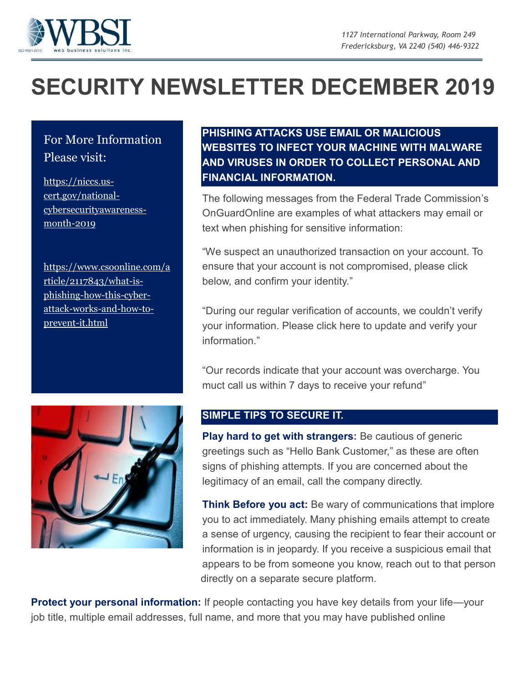

## **SECURITY NEWSLETTER DECEMBER 2019**

## For More Information Please visit:

[https://niccs.us](https://niccs.us-cert.gov/national-cybersecurityawareness-month-2019)[cert.gov/national](https://niccs.us-cert.gov/national-cybersecurityawareness-month-2019)[cybersecurityawareness](https://niccs.us-cert.gov/national-cybersecurityawareness-month-2019)[month-2019](https://niccs.us-cert.gov/national-cybersecurityawareness-month-2019)

[https://www.csoonline.com/a](https://www.csoonline.com/article/2117843/what-is-phishing-how-this-cyber-attack-works-and-how-to-prevent-it.html) [rticle/2117843/what-is](https://www.csoonline.com/article/2117843/what-is-phishing-how-this-cyber-attack-works-and-how-to-prevent-it.html)[phishing-how-this-cyber](https://www.csoonline.com/article/2117843/what-is-phishing-how-this-cyber-attack-works-and-how-to-prevent-it.html)[attack-works-and-how-to](https://www.csoonline.com/article/2117843/what-is-phishing-how-this-cyber-attack-works-and-how-to-prevent-it.html)[prevent-it.html](https://www.csoonline.com/article/2117843/what-is-phishing-how-this-cyber-attack-works-and-how-to-prevent-it.html)

## **PHISHING ATTACKS USE EMAIL OR MALICIOUS WEBSITES TO INFECT YOUR MACHINE WITH MALWARE AND VIRUSES IN ORDER TO COLLECT PERSONAL AND FINANCIAL INFORMATION.**

The following messages from the Federal Trade Commission's OnGuardOnline are examples of what attackers may email or text when phishing for sensitive information:

"We suspect an unauthorized transaction on your account. To ensure that your account is not compromised, please click below, and confirm your identity."

"During our regular verification of accounts, we couldn't verify your information. Please click here to update and verify your information."

"Our records indicate that your account was overcharge. You muct call us within 7 days to receive your refund"



## **SIMPLE TIPS TO SECURE IT.**

**Play hard to get with strangers:** Be cautious of generic greetings such as "Hello Bank Customer," as these are often signs of phishing attempts. If you are concerned about the legitimacy of an email, call the company directly.

**Think Before you act:** Be wary of communications that implore you to act immediately. Many phishing emails attempt to create a sense of urgency, causing the recipient to fear their account or information is in jeopardy. If you receive a suspicious email that appears to be from someone you know, reach out to that person directly on a separate secure platform.

**Protect your personal information:** If people contacting you have key details from your life—your job title, multiple email addresses, full name, and more that you may have published online